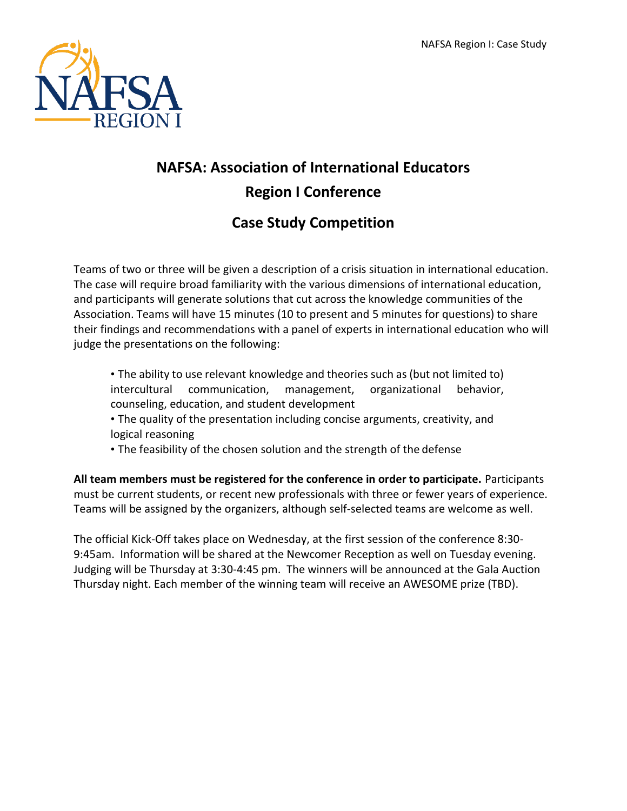

# **NAFSA: Association of International Educators Region I Conference**

# **Case Study Competition**

Teams of two or three will be given a description of a crisis situation in international education. The case will require broad familiarity with the various dimensions of international education, and participants will generate solutions that cut across the knowledge communities of the Association. Teams will have 15 minutes (10 to present and 5 minutes for questions) to share their findings and recommendations with a panel of experts in international education who will judge the presentations on the following:

- The ability to use relevant knowledge and theories such as (but not limited to) intercultural communication, management, organizational behavior, counseling, education, and student development
- The quality of the presentation including concise arguments, creativity, and logical reasoning
- The feasibility of the chosen solution and the strength of the defense

**All team members must be registered for the conference in order to participate.** Participants must be current students, or recent new professionals with three or fewer years of experience. Teams will be assigned by the organizers, although self-selected teams are welcome as well.

The official Kick-Off takes place on Wednesday, at the first session of the conference 8:30- 9:45am. Information will be shared at the Newcomer Reception as well on Tuesday evening. Judging will be Thursday at 3:30-4:45 pm. The winners will be announced at the Gala Auction Thursday night. Each member of the winning team will receive an AWESOME prize (TBD).